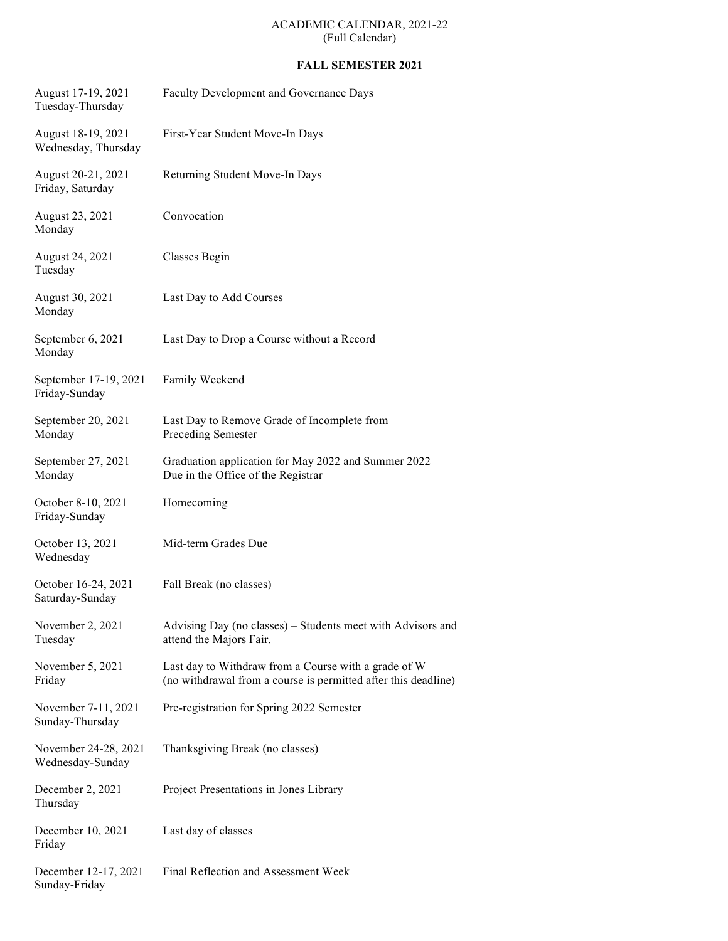## ACADEMIC CALENDAR, 2021-22 (Full Calendar)

## **FALL SEMESTER 2021**

| August 17-19, 2021<br>Tuesday-Thursday    | Faculty Development and Governance Days                                                                                |
|-------------------------------------------|------------------------------------------------------------------------------------------------------------------------|
| August 18-19, 2021<br>Wednesday, Thursday | First-Year Student Move-In Days                                                                                        |
| August 20-21, 2021<br>Friday, Saturday    | Returning Student Move-In Days                                                                                         |
| August 23, 2021<br>Monday                 | Convocation                                                                                                            |
| August 24, 2021<br>Tuesday                | Classes Begin                                                                                                          |
| August 30, 2021<br>Monday                 | Last Day to Add Courses                                                                                                |
| September 6, 2021<br>Monday               | Last Day to Drop a Course without a Record                                                                             |
| September 17-19, 2021<br>Friday-Sunday    | Family Weekend                                                                                                         |
| September 20, 2021<br>Monday              | Last Day to Remove Grade of Incomplete from<br>Preceding Semester                                                      |
| September 27, 2021<br>Monday              | Graduation application for May 2022 and Summer 2022<br>Due in the Office of the Registrar                              |
| October 8-10, 2021                        | Homecoming                                                                                                             |
| Friday-Sunday                             |                                                                                                                        |
| October 13, 2021<br>Wednesday             | Mid-term Grades Due                                                                                                    |
| October 16-24, 2021<br>Saturday-Sunday    | Fall Break (no classes)                                                                                                |
| November 2, 2021<br>Tuesday               | Advising Day (no classes) – Students meet with Advisors and<br>attend the Majors Fair.                                 |
| November 5, 2021<br>Friday                | Last day to Withdraw from a Course with a grade of W<br>(no withdrawal from a course is permitted after this deadline) |
| November 7-11, 2021<br>Sunday-Thursday    | Pre-registration for Spring 2022 Semester                                                                              |
| November 24-28, 2021<br>Wednesday-Sunday  | Thanksgiving Break (no classes)                                                                                        |
| December 2, 2021<br>Thursday              | Project Presentations in Jones Library                                                                                 |
| December 10, 2021<br>Friday               | Last day of classes                                                                                                    |